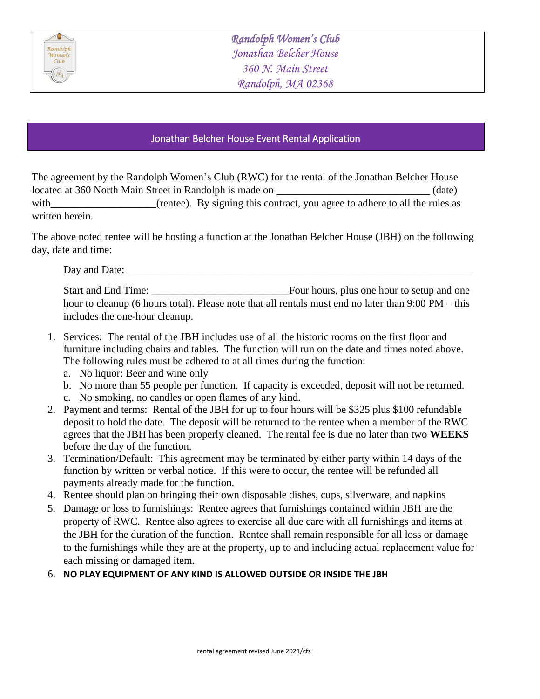

## Jonathan Belcher House Event Rental Application

The agreement by the Randolph Women's Club (RWC) for the rental of the Jonathan Belcher House located at 360 North Main Street in Randolph is made on \_\_\_\_\_\_\_\_\_\_\_\_\_\_\_\_\_\_\_\_\_\_\_\_\_\_\_\_\_ (date) with\_\_\_\_\_\_\_\_\_\_\_\_\_\_\_\_\_(rentee). By signing this contract, you agree to adhere to all the rules as written herein.

The above noted rentee will be hosting a function at the Jonathan Belcher House (JBH) on the following day, date and time:

Day and Date:

Start and End Time: \_\_\_\_\_\_\_\_\_\_\_\_\_\_\_\_\_\_\_\_\_\_\_\_\_\_Four hours, plus one hour to setup and one hour to cleanup (6 hours total). Please note that all rentals must end no later than 9:00 PM – this includes the one-hour cleanup.

- 1. Services: The rental of the JBH includes use of all the historic rooms on the first floor and furniture including chairs and tables. The function will run on the date and times noted above. The following rules must be adhered to at all times during the function:
	- a. No liquor: Beer and wine only
	- b. No more than 55 people per function. If capacity is exceeded, deposit will not be returned.
	- c. No smoking, no candles or open flames of any kind.
- 2. Payment and terms: Rental of the JBH for up to four hours will be \$325 plus \$100 refundable deposit to hold the date. The deposit will be returned to the rentee when a member of the RWC agrees that the JBH has been properly cleaned. The rental fee is due no later than two **WEEKS**  before the day of the function.
- 3. Termination/Default: This agreement may be terminated by either party within 14 days of the function by written or verbal notice. If this were to occur, the rentee will be refunded all payments already made for the function.
- 4. Rentee should plan on bringing their own disposable dishes, cups, silverware, and napkins
- 5. Damage or loss to furnishings: Rentee agrees that furnishings contained within JBH are the property of RWC. Rentee also agrees to exercise all due care with all furnishings and items at the JBH for the duration of the function. Rentee shall remain responsible for all loss or damage to the furnishings while they are at the property, up to and including actual replacement value for each missing or damaged item.
- 6. **NO PLAY EQUIPMENT OF ANY KIND IS ALLOWED OUTSIDE OR INSIDE THE JBH**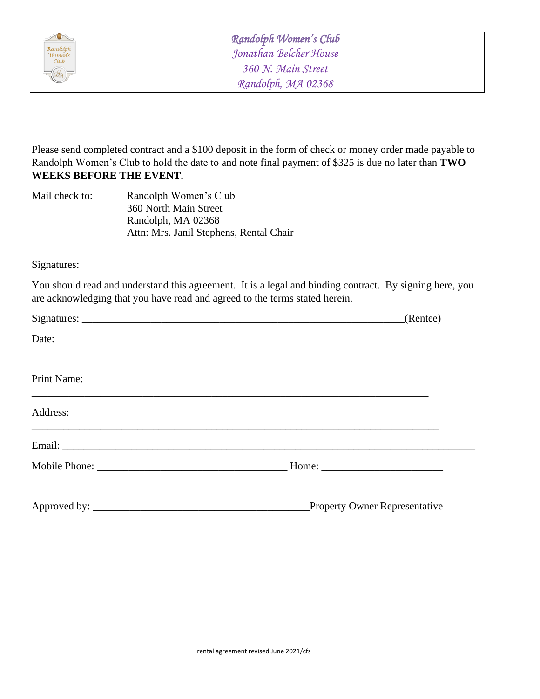

Please send completed contract and a \$100 deposit in the form of check or money order made payable to Randolph Women's Club to hold the date to and note final payment of \$325 is due no later than **TWO WEEKS BEFORE THE EVENT.**

| Mail check to: | Randolph Women's Club                   |
|----------------|-----------------------------------------|
|                | 360 North Main Street                   |
|                | Randolph, MA 02368                      |
|                | Attn: Mrs. Janil Stephens, Rental Chair |

Signatures:

You should read and understand this agreement. It is a legal and binding contract. By signing here, you are acknowledging that you have read and agreed to the terms stated herein.

|             | (Rente)                              |
|-------------|--------------------------------------|
|             |                                      |
| Print Name: |                                      |
| Address:    |                                      |
|             |                                      |
|             |                                      |
|             | <b>Property Owner Representative</b> |